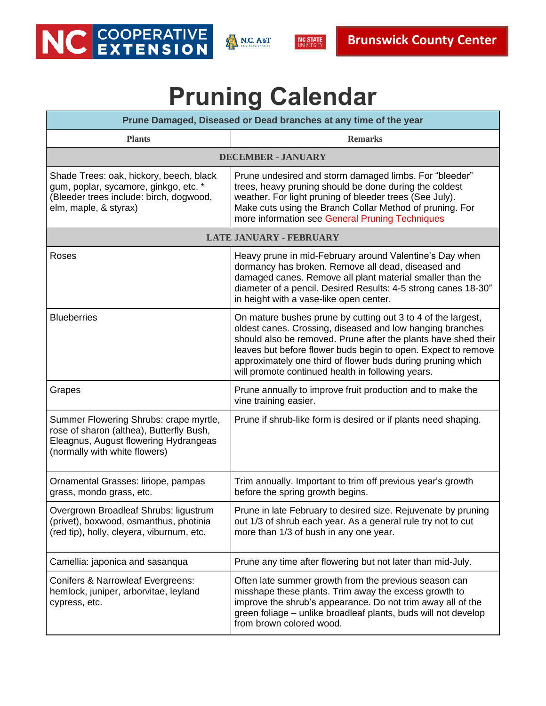





## **Pruning Calendar**

| Prune Damaged, Diseased or Dead branches at any time of the year                                                                                             |                                                                                                                                                                                                                                                                                                                                                                                  |  |
|--------------------------------------------------------------------------------------------------------------------------------------------------------------|----------------------------------------------------------------------------------------------------------------------------------------------------------------------------------------------------------------------------------------------------------------------------------------------------------------------------------------------------------------------------------|--|
| <b>Plants</b>                                                                                                                                                | <b>Remarks</b>                                                                                                                                                                                                                                                                                                                                                                   |  |
| <b>DECEMBER - JANUARY</b>                                                                                                                                    |                                                                                                                                                                                                                                                                                                                                                                                  |  |
| Shade Trees: oak, hickory, beech, black<br>gum, poplar, sycamore, ginkgo, etc. *<br>(Bleeder trees include: birch, dogwood,<br>elm, maple, & styrax)         | Prune undesired and storm damaged limbs. For "bleeder"<br>trees, heavy pruning should be done during the coldest<br>weather. For light pruning of bleeder trees (See July).<br>Make cuts using the Branch Collar Method of pruning. For<br>more information see General Pruning Techniques                                                                                       |  |
| <b>LATE JANUARY - FEBRUARY</b>                                                                                                                               |                                                                                                                                                                                                                                                                                                                                                                                  |  |
| Roses                                                                                                                                                        | Heavy prune in mid-February around Valentine's Day when<br>dormancy has broken. Remove all dead, diseased and<br>damaged canes. Remove all plant material smaller than the<br>diameter of a pencil. Desired Results: 4-5 strong canes 18-30"<br>in height with a vase-like open center.                                                                                          |  |
| <b>Blueberries</b>                                                                                                                                           | On mature bushes prune by cutting out 3 to 4 of the largest,<br>oldest canes. Crossing, diseased and low hanging branches<br>should also be removed. Prune after the plants have shed their<br>leaves but before flower buds begin to open. Expect to remove<br>approximately one third of flower buds during pruning which<br>will promote continued health in following years. |  |
| Grapes                                                                                                                                                       | Prune annually to improve fruit production and to make the<br>vine training easier.                                                                                                                                                                                                                                                                                              |  |
| Summer Flowering Shrubs: crape myrtle,<br>rose of sharon (althea), Butterfly Bush,<br>Eleagnus, August flowering Hydrangeas<br>(normally with white flowers) | Prune if shrub-like form is desired or if plants need shaping.                                                                                                                                                                                                                                                                                                                   |  |
| Ornamental Grasses: liriope, pampas<br>grass, mondo grass, etc.                                                                                              | Trim annually. Important to trim off previous year's growth<br>before the spring growth begins.                                                                                                                                                                                                                                                                                  |  |
| Overgrown Broadleaf Shrubs: ligustrum<br>(privet), boxwood, osmanthus, photinia<br>(red tip), holly, cleyera, viburnum, etc.                                 | Prune in late February to desired size. Rejuvenate by pruning<br>out 1/3 of shrub each year. As a general rule try not to cut<br>more than 1/3 of bush in any one year.                                                                                                                                                                                                          |  |
| Camellia: japonica and sasanqua                                                                                                                              | Prune any time after flowering but not later than mid-July.                                                                                                                                                                                                                                                                                                                      |  |
| <b>Conifers &amp; Narrowleaf Evergreens:</b><br>hemlock, juniper, arborvitae, leyland<br>cypress, etc.                                                       | Often late summer growth from the previous season can<br>misshape these plants. Trim away the excess growth to<br>improve the shrub's appearance. Do not trim away all of the<br>green foliage - unlike broadleaf plants, buds will not develop<br>from brown colored wood.                                                                                                      |  |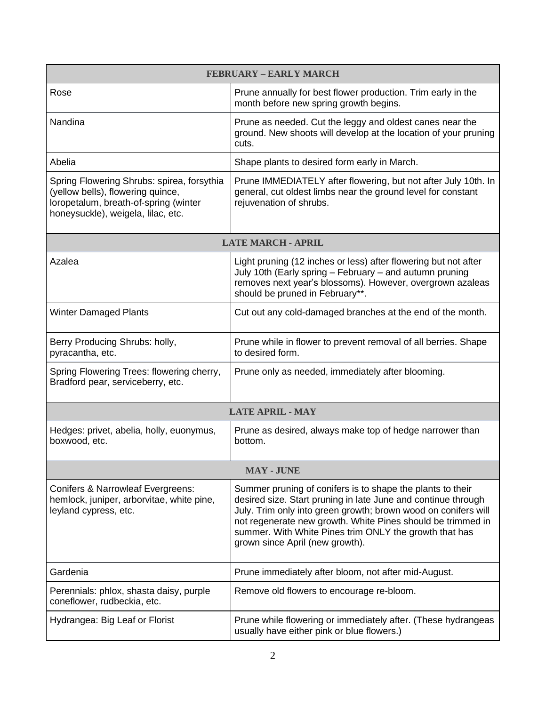| <b>FEBRUARY - EARLY MARCH</b>                                                                                                                                  |                                                                                                                                                                                                                                                                                                                                                           |  |
|----------------------------------------------------------------------------------------------------------------------------------------------------------------|-----------------------------------------------------------------------------------------------------------------------------------------------------------------------------------------------------------------------------------------------------------------------------------------------------------------------------------------------------------|--|
| Rose                                                                                                                                                           | Prune annually for best flower production. Trim early in the<br>month before new spring growth begins.                                                                                                                                                                                                                                                    |  |
| Nandina                                                                                                                                                        | Prune as needed. Cut the leggy and oldest canes near the<br>ground. New shoots will develop at the location of your pruning<br>cuts.                                                                                                                                                                                                                      |  |
| Abelia                                                                                                                                                         | Shape plants to desired form early in March.                                                                                                                                                                                                                                                                                                              |  |
| Spring Flowering Shrubs: spirea, forsythia<br>(yellow bells), flowering quince,<br>loropetalum, breath-of-spring (winter<br>honeysuckle), weigela, lilac, etc. | Prune IMMEDIATELY after flowering, but not after July 10th. In<br>general, cut oldest limbs near the ground level for constant<br>rejuvenation of shrubs.                                                                                                                                                                                                 |  |
| <b>LATE MARCH - APRIL</b>                                                                                                                                      |                                                                                                                                                                                                                                                                                                                                                           |  |
| Azalea                                                                                                                                                         | Light pruning (12 inches or less) after flowering but not after<br>July 10th (Early spring - February - and autumn pruning<br>removes next year's blossoms). However, overgrown azaleas<br>should be pruned in February**.                                                                                                                                |  |
| <b>Winter Damaged Plants</b>                                                                                                                                   | Cut out any cold-damaged branches at the end of the month.                                                                                                                                                                                                                                                                                                |  |
| Berry Producing Shrubs: holly,<br>pyracantha, etc.                                                                                                             | Prune while in flower to prevent removal of all berries. Shape<br>to desired form.                                                                                                                                                                                                                                                                        |  |
| Spring Flowering Trees: flowering cherry,<br>Bradford pear, serviceberry, etc.                                                                                 | Prune only as needed, immediately after blooming.                                                                                                                                                                                                                                                                                                         |  |
| <b>LATE APRIL - MAY</b>                                                                                                                                        |                                                                                                                                                                                                                                                                                                                                                           |  |
| Hedges: privet, abelia, holly, euonymus,<br>boxwood, etc.                                                                                                      | Prune as desired, always make top of hedge narrower than<br>bottom.                                                                                                                                                                                                                                                                                       |  |
| <b>MAY - JUNE</b>                                                                                                                                              |                                                                                                                                                                                                                                                                                                                                                           |  |
| <b>Conifers &amp; Narrowleaf Evergreens:</b><br>hemlock, juniper, arborvitae, white pine,<br>leyland cypress, etc.                                             | Summer pruning of conifers is to shape the plants to their<br>desired size. Start pruning in late June and continue through<br>July. Trim only into green growth; brown wood on conifers will<br>not regenerate new growth. White Pines should be trimmed in<br>summer. With White Pines trim ONLY the growth that has<br>grown since April (new growth). |  |
| Gardenia                                                                                                                                                       | Prune immediately after bloom, not after mid-August.                                                                                                                                                                                                                                                                                                      |  |
| Perennials: phlox, shasta daisy, purple<br>coneflower, rudbeckia, etc.                                                                                         | Remove old flowers to encourage re-bloom.                                                                                                                                                                                                                                                                                                                 |  |
| Hydrangea: Big Leaf or Florist                                                                                                                                 | Prune while flowering or immediately after. (These hydrangeas<br>usually have either pink or blue flowers.)                                                                                                                                                                                                                                               |  |